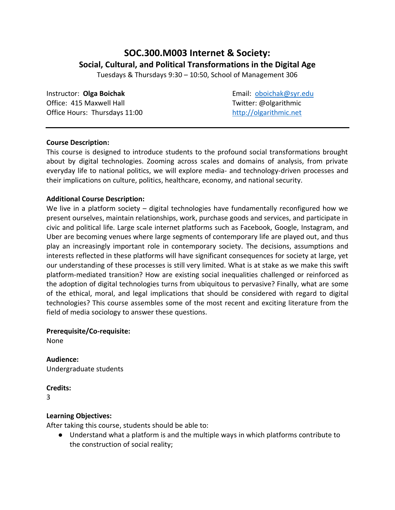# **SOC.300.M003 Internet & Society: Social, Cultural, and Political Transformations in the Digital Age**

Tuesdays & Thursdays 9:30 – 10:50, School of Management 306

**Instructor: Olga Boichak Email: oboichak@syr.edu** Office: 415 Maxwell Hall **The Contract Contract Contract Contract Contract Contract Contract Contract Contract Contract Contract Contract Contract Contract Contract Contract Contract Contract Contract Contract Contract Con** Office Hours: Thursdays 11:00 [http://olgarithmic.net](http://olgarithmic.net/)

# **Course Description:**

This course is designed to introduce students to the profound social transformations brought about by digital technologies. Zooming across scales and domains of analysis, from private everyday life to national politics, we will explore media- and technology-driven processes and their implications on culture, politics, healthcare, economy, and national security.

# **Additional Course Description:**

We live in a platform society – digital technologies have fundamentally reconfigured how we present ourselves, maintain relationships, work, purchase goods and services, and participate in civic and political life. Large scale internet platforms such as Facebook, Google, Instagram, and Uber are becoming venues where large segments of contemporary life are played out, and thus play an increasingly important role in contemporary society. The decisions, assumptions and interests reflected in these platforms will have significant consequences for society at large, yet our understanding of these processes is still very limited. What is at stake as we make this swift platform-mediated transition? How are existing social inequalities challenged or reinforced as the adoption of digital technologies turns from ubiquitous to pervasive? Finally, what are some of the ethical, moral, and legal implications that should be considered with regard to digital technologies? This course assembles some of the most recent and exciting literature from the field of media sociology to answer these questions.

# **Prerequisite/Co-requisite:**

None

**Audience:** Undergraduate students

# **Credits:**

3

# **Learning Objectives:**

After taking this course, students should be able to:

● Understand what a platform is and the multiple ways in which platforms contribute to the construction of social reality;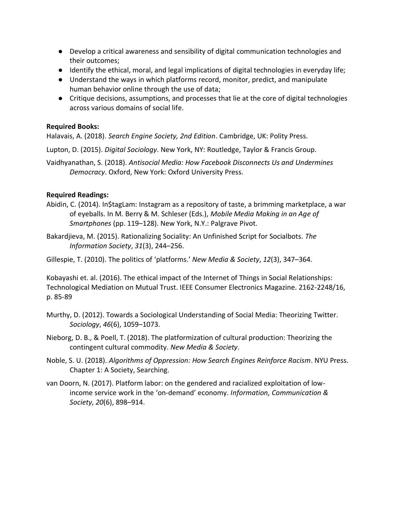- Develop a critical awareness and sensibility of digital communication technologies and their outcomes;
- Identify the ethical, moral, and legal implications of digital technologies in everyday life;
- Understand the ways in which platforms record, monitor, predict, and manipulate human behavior online through the use of data;
- Critique decisions, assumptions, and processes that lie at the core of digital technologies across various domains of social life.

# **Required Books:**

Halavais, A. (2018). *Search Engine Society, 2nd Edition*. Cambridge, UK: Polity Press.

Lupton, D. (2015). *Digital Sociology*. New York, NY: Routledge, Taylor & Francis Group.

Vaidhyanathan, S. (2018). *Antisocial Media: How Facebook Disconnects Us and Undermines Democracy*. Oxford, New York: Oxford University Press.

# **Required Readings:**

- Abidin, C. (2014). In\$tagLam: Instagram as a repository of taste, a brimming marketplace, a war of eyeballs. In M. Berry & M. Schleser (Eds.), *Mobile Media Making in an Age of Smartphones* (pp. 119–128). New York, N.Y.: Palgrave Pivot.
- Bakardjieva, M. (2015). Rationalizing Sociality: An Unfinished Script for Socialbots. *The Information Society*, *31*(3), 244–256.

Gillespie, T. (2010). The politics of 'platforms.' *New Media & Society*, *12*(3), 347–364.

Kobayashi et. al. (2016). The ethical impact of the Internet of Things in Social Relationships: Technological Mediation on Mutual Trust. IEEE Consumer Electronics Magazine. 2162-2248/16, p. 85-89

- Murthy, D. (2012). Towards a Sociological Understanding of Social Media: Theorizing Twitter. *Sociology*, *46*(6), 1059–1073.
- Nieborg, D. B., & Poell, T. (2018). The platformization of cultural production: Theorizing the contingent cultural commodity. *New Media & Society*.
- Noble, S. U. (2018). *Algorithms of Oppression: How Search Engines Reinforce Racism*. NYU Press. Chapter 1: A Society, Searching.
- van Doorn, N. (2017). Platform labor: on the gendered and racialized exploitation of lowincome service work in the 'on-demand' economy. *Information, Communication & Society*, *20*(6), 898–914.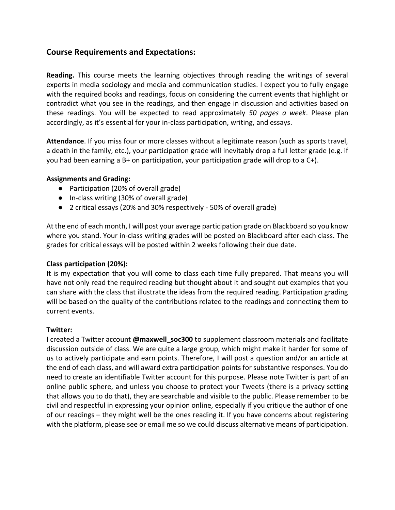# **Course Requirements and Expectations:**

**Reading.** This course meets the learning objectives through reading the writings of several experts in media sociology and media and communication studies. I expect you to fully engage with the required books and readings, focus on considering the current events that highlight or contradict what you see in the readings, and then engage in discussion and activities based on these readings. You will be expected to read approximately *50 pages a week*. Please plan accordingly, as it's essential for your in-class participation, writing, and essays.

**Attendance**. If you miss four or more classes without a legitimate reason (such as sports travel, a death in the family, etc.), your participation grade will inevitably drop a full letter grade (e.g. if you had been earning a B+ on participation, your participation grade will drop to a C+).

#### **Assignments and Grading:**

- Participation (20% of overall grade)
- In-class writing (30% of overall grade)
- 2 critical essays (20% and 30% respectively 50% of overall grade)

At the end of each month, I will post your average participation grade on Blackboard so you know where you stand. Your in-class writing grades will be posted on Blackboard after each class. The grades for critical essays will be posted within 2 weeks following their due date.

# **Class participation (20%):**

It is my expectation that you will come to class each time fully prepared. That means you will have not only read the required reading but thought about it and sought out examples that you can share with the class that illustrate the ideas from the required reading. Participation grading will be based on the quality of the contributions related to the readings and connecting them to current events.

#### **Twitter:**

I created a Twitter account **@maxwell\_soc300** to supplement classroom materials and facilitate discussion outside of class. We are quite a large group, which might make it harder for some of us to actively participate and earn points. Therefore, I will post a question and/or an article at the end of each class, and will award extra participation points for substantive responses. You do need to create an identifiable Twitter account for this purpose. Please note Twitter is part of an online public sphere, and unless you choose to protect your Tweets (there is a privacy setting that allows you to do that), they are searchable and visible to the public. Please remember to be civil and respectful in expressing your opinion online, especially if you critique the author of one of our readings – they might well be the ones reading it. If you have concerns about registering with the platform, please see or email me so we could discuss alternative means of participation.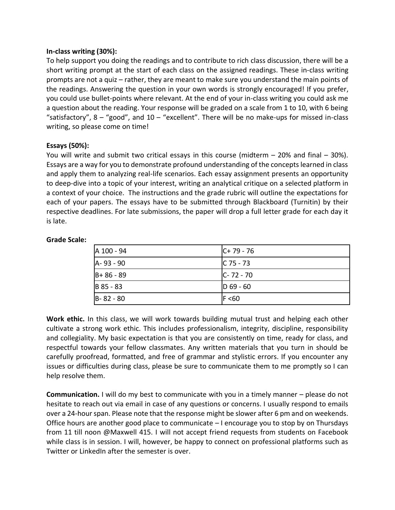#### **In-class writing (30%):**

To help support you doing the readings and to contribute to rich class discussion, there will be a short writing prompt at the start of each class on the assigned readings. These in-class writing prompts are not a quiz – rather, they are meant to make sure you understand the main points of the readings. Answering the question in your own words is strongly encouraged! If you prefer, you could use bullet-points where relevant. At the end of your in-class writing you could ask me a question about the reading. Your response will be graded on a scale from 1 to 10, with 6 being "satisfactory",  $8 -$ "good", and  $10 -$  "excellent". There will be no make-ups for missed in-class writing, so please come on time!

#### **Essays (50%):**

You will write and submit two critical essays in this course (midterm  $-$  20% and final  $-$  30%). Essays are a way for you to demonstrate profound understanding of the concepts learned in class and apply them to analyzing real-life scenarios. Each essay assignment presents an opportunity to deep-dive into a topic of your interest, writing an analytical critique on a selected platform in a context of your choice. The instructions and the grade rubric will outline the expectations for each of your papers. The essays have to be submitted through Blackboard (Turnitin) by their respective deadlines. For late submissions, the paper will drop a full letter grade for each day it is late.

#### **Grade Scale:**

| A 100 - 94      | $ C+79-76 $   |
|-----------------|---------------|
| A-93-90         | $C$ 75 - 73   |
| $ B + 86 - 89 $ | $C - 72 - 70$ |
| B 85 - 83       | $D_69 - 60$   |
| $B - 82 - 80$   | F < 60        |

**Work ethic.** In this class, we will work towards building mutual trust and helping each other cultivate a strong work ethic. This includes professionalism, integrity, discipline, responsibility and collegiality. My basic expectation is that you are consistently on time, ready for class, and respectful towards your fellow classmates. Any written materials that you turn in should be carefully proofread, formatted, and free of grammar and stylistic errors. If you encounter any issues or difficulties during class, please be sure to communicate them to me promptly so I can help resolve them.

**Communication.** I will do my best to communicate with you in a timely manner – please do not hesitate to reach out via email in case of any questions or concerns. I usually respond to emails over a 24-hour span. Please note that the response might be slower after 6 pm and on weekends. Office hours are another good place to communicate – I encourage you to stop by on Thursdays from 11 till noon @Maxwell 415. I will not accept friend requests from students on Facebook while class is in session. I will, however, be happy to connect on professional platforms such as Twitter or LinkedIn after the semester is over.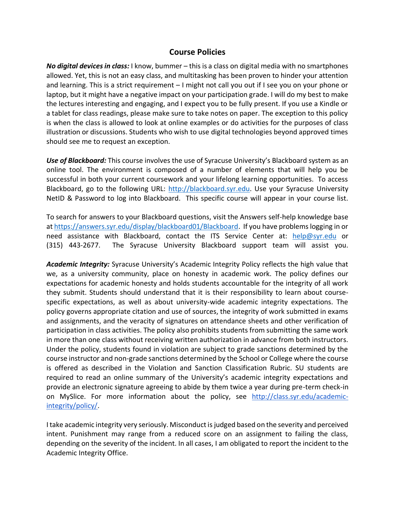# **Course Policies**

*No digital devices in class:* I know, bummer – this is a class on digital media with no smartphones allowed. Yet, this is not an easy class, and multitasking has been proven to hinder your attention and learning. This is a strict requirement – I might not call you out if I see you on your phone or laptop, but it might have a negative impact on your participation grade. I will do my best to make the lectures interesting and engaging, and I expect you to be fully present. If you use a Kindle or a tablet for class readings, please make sure to take notes on paper. The exception to this policy is when the class is allowed to look at online examples or do activities for the purposes of class illustration or discussions. Students who wish to use digital technologies beyond approved times should see me to request an exception.

*Use of Blackboard:* This course involves the use of Syracuse University's Blackboard system as an online tool. The environment is composed of a number of elements that will help you be successful in both your current coursework and your lifelong learning opportunities. To access Blackboard, go to the following URL: [http://blackboard.syr.edu.](http://blackboard.syr.edu/) Use your Syracuse University NetID & Password to log into Blackboard. This specific course will appear in your course list.

To search for answers to your Blackboard questions, visit the Answers self-help knowledge base at [https://answers.syr.edu/display/blackboard01/Blackboard.](https://answers.syr.edu/display/blackboard01/Blackboard) If you have problems logging in or need assistance with Blackboard, contact the ITS Service Center at: [help@syr.edu](mailto:help@syr.edu) or (315) 443-2677. The Syracuse University Blackboard support team will assist you.

*Academic Integrity:* Syracuse University's Academic Integrity Policy reflects the high value that we, as a university community, place on honesty in academic work. The policy defines our expectations for academic honesty and holds students accountable for the integrity of all work they submit. Students should understand that it is their responsibility to learn about coursespecific expectations, as well as about university-wide academic integrity expectations. The policy governs appropriate citation and use of sources, the integrity of work submitted in exams and assignments, and the veracity of signatures on attendance sheets and other verification of participation in class activities. The policy also prohibits students from submitting the same work in more than one class without receiving written authorization in advance from both instructors. Under the policy, students found in violation are subject to grade sanctions determined by the course instructor and non-grade sanctions determined by the School or College where the course is offered as described in the Violation and Sanction Classification Rubric. SU students are required to read an online summary of the University's academic integrity expectations and provide an electronic signature agreeing to abide by them twice a year during pre-term check-in on MySlic[e](http://class.syr.edu/academic-integrity/policy/). For more information about the policy, see [http://class.syr.edu/academic](http://class.syr.edu/academic-integrity/policy/)[integrity/policy/.](http://class.syr.edu/academic-integrity/policy/)

Itake academic integrity very seriously. Misconduct is judged based on the severity and perceived intent. Punishment may range from a reduced score on an assignment to failing the class, depending on the severity of the incident. In all cases, I am obligated to report the incident to the Academic Integrity Office.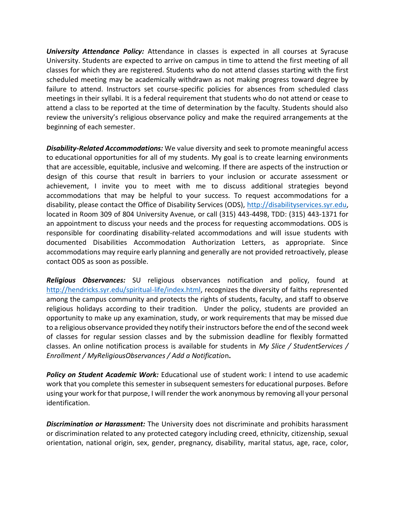*University Attendance Policy:* Attendance in classes is expected in all courses at Syracuse University. Students are expected to arrive on campus in time to attend the first meeting of all classes for which they are registered. Students who do not attend classes starting with the first scheduled meeting may be academically withdrawn as not making progress toward degree by failure to attend. Instructors set course-specific policies for absences from scheduled class meetings in their syllabi. It is a federal requirement that students who do not attend or cease to attend a class to be reported at the time of determination by the faculty. Students should also review the university's religious observance policy and make the required arrangements at the beginning of each semester.

*Disability-Related Accommodations:* We value diversity and seek to promote meaningful access to educational opportunities for all of my students. My goal is to create learning environments that are accessible, equitable, inclusive and welcoming. If there are aspects of the instruction or design of this course that result in barriers to your inclusion or accurate assessment or achievement, I invite you to meet with me to discuss additional strategies beyond accommodations that may be helpful to your success. To request accommodations for a disability, please contact the Office of Disability Services (ODS), [http://disabilityservices.syr.edu,](http://disabilityservices.syr.edu/) located in Room 309 of 804 University Avenue, or call (315) 443-4498, TDD: (315) 443-1371 for an appointment to discuss your needs and the process for requesting accommodations. ODS is responsible for coordinating disability-related accommodations and will issue students with documented Disabilities Accommodation Authorization Letters, as appropriate. Since accommodations may require early planning and generally are not provided retroactively, please contact ODS as soon as possible.

*Religious Observances:* SU religious observances notification and policy, found at [http://hendricks.syr.edu/spiritual-life/index.html,](http://hendricks.syr.edu/spiritual-life/index.html) recognizes the diversity of faiths represented among the campus community and protects the rights of students, faculty, and staff to observe religious holidays according to their tradition. Under the policy, students are provided an opportunity to make up any examination, study, or work requirements that may be missed due to a religious observance provided they notify their instructors before the end of the second week of classes for regular session classes and by the submission deadline for flexibly formatted classes. An online notification process is available for students in *My Slice / StudentServices / Enrollment / MyReligiousObservances / Add a Notificatio*n**.**

*Policy on Student Academic Work:* Educational use of student work: I intend to use academic work that you complete this semester in subsequent semesters for educational purposes. Before using your work for that purpose, I will render the work anonymous by removing all your personal identification.

*Discrimination or Harassment:* The University does not discriminate and prohibits harassment or discrimination related to any protected category including creed, ethnicity, citizenship, sexual orientation, national origin, sex, gender, pregnancy, disability, marital status, age, race, color,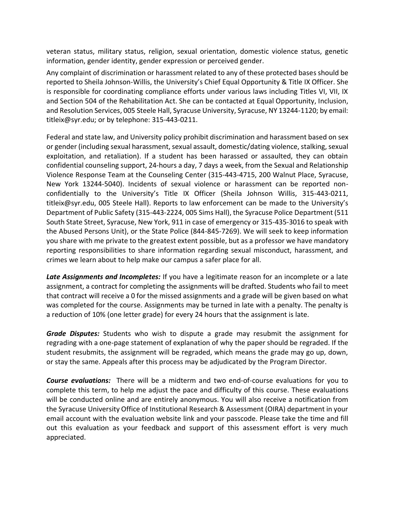veteran status, military status, religion, sexual orientation, domestic violence status, genetic information, gender identity, gender expression or perceived gender.

Any complaint of discrimination or harassment related to any of these protected bases should be reported to Sheila Johnson-Willis, the University's Chief Equal Opportunity & Title IX Officer. She is responsible for coordinating compliance efforts under various laws including Titles VI, VII, IX and Section 504 of the Rehabilitation Act. She can be contacted at Equal Opportunity, Inclusion, and Resolution Services, 005 Steele Hall, Syracuse University, Syracuse, NY 13244-1120; by email: titleix@syr.edu; or by telephone: 315-443-0211.

Federal and state law, and University policy prohibit discrimination and harassment based on sex or gender (including sexual harassment, sexual assault, domestic/dating violence, stalking, sexual exploitation, and retaliation). If a student has been harassed or assaulted, they can obtain confidential counseling support, 24-hours a day, 7 days a week, from the Sexual and Relationship Violence Response Team at the Counseling Center (315-443-4715, 200 Walnut Place, Syracuse, New York 13244-5040). Incidents of sexual violence or harassment can be reported nonconfidentially to the University's Title IX Officer (Sheila Johnson Willis, 315-443-0211, titleix@syr.edu, 005 Steele Hall). Reports to law enforcement can be made to the University's Department of Public Safety (315-443-2224, 005 Sims Hall), the Syracuse Police Department (511 South State Street, Syracuse, New York, 911 in case of emergency or 315-435-3016 to speak with the Abused Persons Unit), or the State Police (844-845-7269). We will seek to keep information you share with me private to the greatest extent possible, but as a professor we have mandatory reporting responsibilities to share information regarding sexual misconduct, harassment, and crimes we learn about to help make our campus a safer place for all.

*Late Assignments and Incompletes:* If you have a legitimate reason for an incomplete or a late assignment, a contract for completing the assignments will be drafted. Students who fail to meet that contract will receive a 0 for the missed assignments and a grade will be given based on what was completed for the course. Assignments may be turned in late with a penalty. The penalty is a reduction of 10% (one letter grade) for every 24 hours that the assignment is late.

*Grade Disputes:* Students who wish to dispute a grade may resubmit the assignment for regrading with a one-page statement of explanation of why the paper should be regraded. If the student resubmits, the assignment will be regraded, which means the grade may go up, down, or stay the same. Appeals after this process may be adjudicated by the Program Director.

*Course evaluations:* There will be a midterm and two end-of-course evaluations for you to complete this term, to help me adjust the pace and difficulty of this course. These evaluations will be conducted online and are entirely anonymous. You will also receive a notification from the Syracuse University Office of Institutional Research & Assessment (OIRA) department in your email account with the evaluation website link and your passcode. Please take the time and fill out this evaluation as your feedback and support of this assessment effort is very much appreciated.